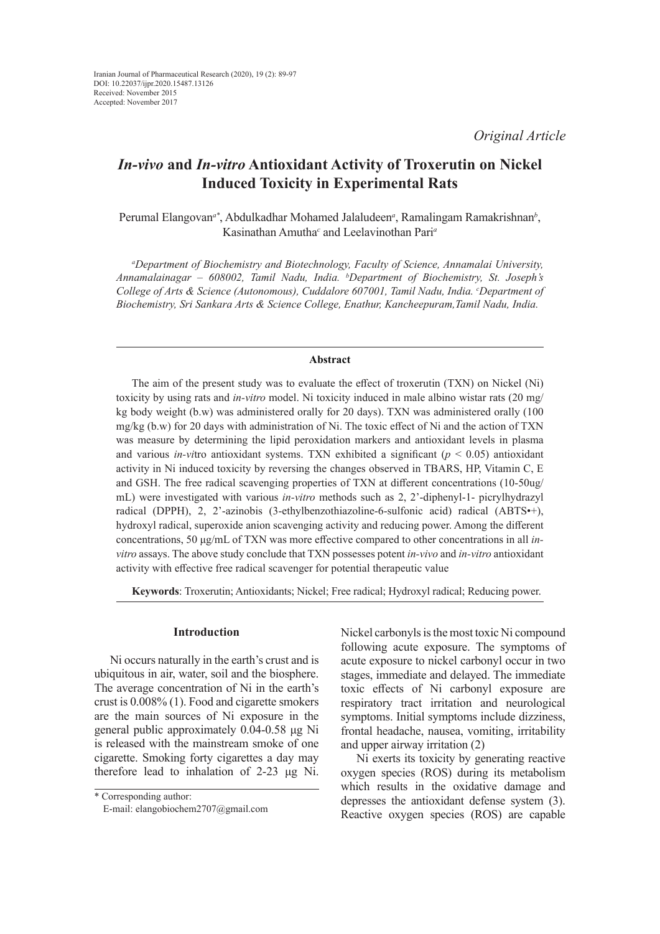# *In-vivo* **and** *In-vitro* **Antioxidant Activity of Troxerutin on Nickel Induced Toxicity in Experimental Rats**

Perumal Elangovan<sup>a\*</sup>, Abdulkadhar Mohamed Jalaludeen<sup>a</sup>, Ramalingam Ramakrishnan<sup>b</sup>, Kasinathan Amutha*<sup>c</sup>* and Leelavinothan Pari*<sup>a</sup>*

*a Department of Biochemistry and Biotechnology, Faculty of Science, Annamalai University, Annamalainagar – 608002, Tamil Nadu, India. b Department of Biochemistry, St. Joseph's*  College of Arts & Science (Autonomous), Cuddalore 607001, Tamil Nadu, India. *°Department of Biochemistry, Sri Sankara Arts & Science College, Enathur, Kancheepuram,Tamil Nadu, India.*

# **Abstract**

The aim of the present study was to evaluate the effect of troxerutin (TXN) on Nickel (Ni) toxicity by using rats and *in-vitro* model. Ni toxicity induced in male albino wistar rats (20 mg/ kg body weight (b.w) was administered orally for 20 days). TXN was administered orally (100 mg/kg (b.w) for 20 days with administration of Ni. The toxic effect of Ni and the action of TXN was measure by determining the lipid peroxidation markers and antioxidant levels in plasma and various *in-vi*tro antioxidant systems. TXN exhibited a significant (*p* < 0.05) antioxidant activity in Ni induced toxicity by reversing the changes observed in TBARS, HP, Vitamin C, E and GSH. The free radical scavenging properties of TXN at different concentrations (10-50ug/ mL) were investigated with various *in-vitro* methods such as 2, 2'-diphenyl-1- picrylhydrazyl radical (DPPH), 2, 2'-azinobis (3-ethylbenzothiazoline-6-sulfonic acid) radical (ABTS•+), hydroxyl radical, superoxide anion scavenging activity and reducing power. Among the different concentrations, 50 μg/mL of TXN was more effective compared to other concentrations in all *invitro* assays. The above study conclude that TXN possesses potent *in-vivo* and *in-vitro* antioxidant activity with effective free radical scavenger for potential therapeutic value

**Keywords**: Troxerutin; Antioxidants; Nickel; Free radical; Hydroxyl radical; Reducing power.

### **Introduction**

Ni occurs naturally in the earth's crust and is ubiquitous in air, water, soil and the biosphere. The average concentration of Ni in the earth's crust is 0.008% (1). Food and cigarette smokers are the main sources of Ni exposure in the general public approximately 0.04-0.58 μg Ni is released with the mainstream smoke of one cigarette. Smoking forty cigarettes a day may therefore lead to inhalation of 2-23 μg Ni.

\* Corresponding author: E-mail: elangobiochem2707@gmail.com Nickel carbonyls is the most toxic Ni compound following acute exposure. The symptoms of acute exposure to nickel carbonyl occur in two stages, immediate and delayed. The immediate toxic effects of Ni carbonyl exposure are respiratory tract irritation and neurological symptoms. Initial symptoms include dizziness, frontal headache, nausea, vomiting, irritability and upper airway irritation (2)

Ni exerts its toxicity by generating reactive oxygen species (ROS) during its metabolism which results in the oxidative damage and depresses the antioxidant defense system (3). Reactive oxygen species (ROS) are capable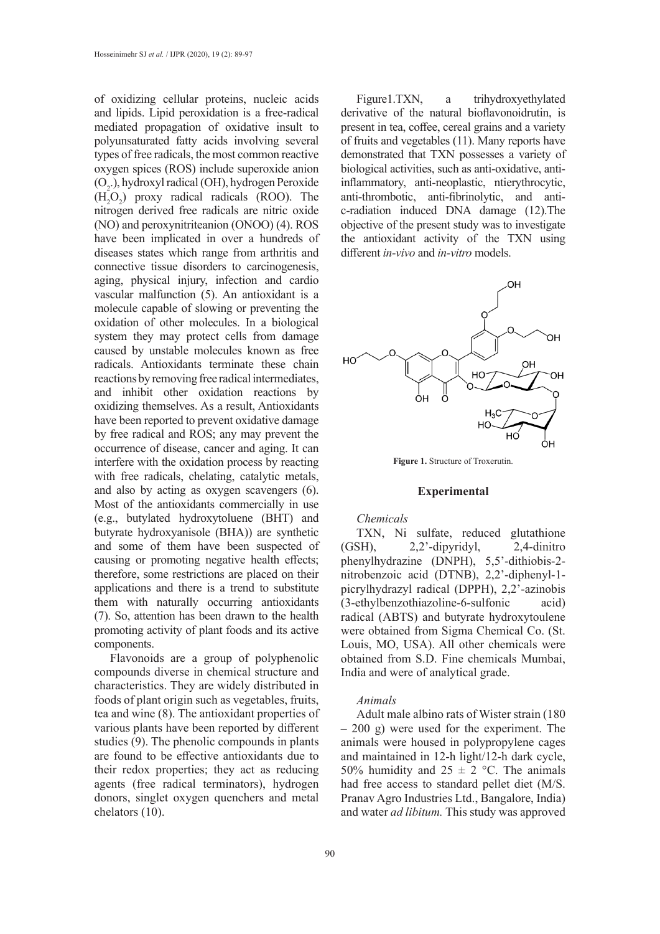of oxidizing cellular proteins, nucleic acids and lipids. Lipid peroxidation is a free-radical mediated propagation of oxidative insult to polyunsaturated fatty acids involving several types of free radicals, the most common reactive oxygen spices (ROS) include superoxide anion (O<sub>2</sub>.), hydroxyl radical (OH), hydrogen Peroxide  $(H_2O_2)$  proxy radical radicals (ROO). The nitrogen derived free radicals are nitric oxide (NO) and peroxynitriteanion (ONOO) (4). ROS have been implicated in over a hundreds of diseases states which range from arthritis and connective tissue disorders to carcinogenesis, aging, physical injury, infection and cardio vascular malfunction (5). An antioxidant is a molecule capable of slowing or preventing the oxidation of other molecules. In a biological system they may protect cells from damage caused by unstable molecules known as free radicals. Antioxidants terminate these chain reactions by removing free radical intermediates, and inhibit other oxidation reactions by oxidizing themselves. As a result, Antioxidants have been reported to prevent oxidative damage by free radical and ROS; any may prevent the occurrence of disease, cancer and aging. It can interfere with the oxidation process by reacting with free radicals, chelating, catalytic metals, and also by acting as oxygen scavengers (6). Most of the antioxidants commercially in use (e.g., butylated hydroxytoluene (BHT) and butyrate hydroxyanisole (BHA)) are synthetic and some of them have been suspected of causing or promoting negative health effects; therefore, some restrictions are placed on their applications and there is a trend to substitute them with naturally occurring antioxidants (7). So, attention has been drawn to the health promoting activity of plant foods and its active components.

Flavonoids are a group of polyphenolic compounds diverse in chemical structure and characteristics. They are widely distributed in foods of plant origin such as vegetables, fruits, tea and wine (8). The antioxidant properties of various plants have been reported by different studies (9). The phenolic compounds in plants are found to be effective antioxidants due to their redox properties; they act as reducing agents (free radical terminators), hydrogen donors, singlet oxygen quenchers and metal chelators (10).

Figure1.TXN, a trihydroxyethylated derivative of the natural bioflavonoidrutin, is present in tea, coffee, cereal grains and a variety of fruits and vegetables (11). Many reports have demonstrated that TXN possesses a variety of biological activities, such as anti-oxidative, antiinflammatory, anti-neoplastic, ntierythrocytic, anti-thrombotic, anti-fibrinolytic, and antic-radiation induced DNA damage (12).The objective of the present study was to investigate the antioxidant activity of the TXN using different *in-vivo* and *in-vitro* models.



**Figure 1.** Structure of Troxerutin.

### **Experimental**

#### *Chemicals*

TXN, Ni sulfate, reduced glutathione (GSH), 2,2'-dipyridyl, 2,4-dinitro phenylhydrazine (DNPH), 5,5'-dithiobis-2 nitrobenzoic acid (DTNB), 2,2'-diphenyl-1 picrylhydrazyl radical (DPPH), 2,2'-azinobis (3-ethylbenzothiazoline-6-sulfonic acid) radical (ABTS) and butyrate hydroxytoulene were obtained from Sigma Chemical Co. (St. Louis, MO, USA). All other chemicals were obtained from S.D. Fine chemicals Mumbai, India and were of analytical grade.

# *Animals*

Adult male albino rats of Wister strain (180 – 200 g) were used for the experiment. The animals were housed in polypropylene cages and maintained in 12-h light/12-h dark cycle, 50% humidity and  $25 \pm 2$  °C. The animals had free access to standard pellet diet (M/S. Pranav Agro Industries Ltd., Bangalore, India) and water *ad libitum.* This study was approved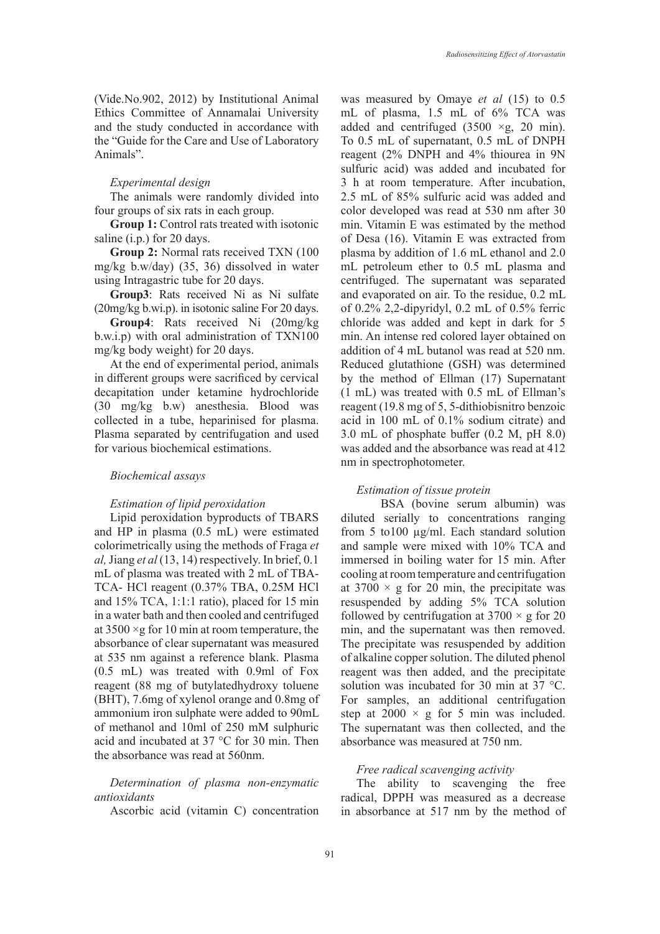(Vide.No.902, 2012) by Institutional Animal Ethics Committee of Annamalai University and the study conducted in accordance with the "Guide for the Care and Use of Laboratory Animals".

#### *Experimental design*

The animals were randomly divided into four groups of six rats in each group.

**Group 1:** Control rats treated with isotonic saline (i.p.) for 20 days.

**Group 2:** Normal rats received TXN (100 mg/kg b.w/day) (35, 36) dissolved in water using Intragastric tube for 20 days.

**Group3**: Rats received Ni as Ni sulfate (20mg/kg b.wi.p). in isotonic saline For 20 days.

**Group4**: Rats received Ni (20mg/kg b.w.i.p) with oral administration of TXN100 mg/kg body weight) for 20 days.

At the end of experimental period, animals in different groups were sacrificed by cervical decapitation under ketamine hydrochloride (30 mg/kg b.w) anesthesia. Blood was collected in a tube, heparinised for plasma. Plasma separated by centrifugation and used for various biochemical estimations.

### *Biochemical assays*

#### *Estimation of lipid peroxidation*

Lipid peroxidation byproducts of TBARS and HP in plasma (0.5 mL) were estimated colorimetrically using the methods of Fraga *et al,* Jiang *et al* (13, 14) respectively. In brief, 0.1 mL of plasma was treated with 2 mL of TBA-TCA- HCl reagent (0.37% TBA, 0.25M HCl and 15% TCA, 1:1:1 ratio), placed for 15 min in a water bath and then cooled and centrifuged at  $3500 \times g$  for 10 min at room temperature, the absorbance of clear supernatant was measured at 535 nm against a reference blank. Plasma (0.5 mL) was treated with 0.9ml of Fox reagent (88 mg of butylatedhydroxy toluene (BHT), 7.6mg of xylenol orange and 0.8mg of ammonium iron sulphate were added to 90mL of methanol and 10ml of 250 mM sulphuric acid and incubated at 37 °C for 30 min. Then the absorbance was read at 560nm.

*Determination of plasma non-enzymatic antioxidants*

Ascorbic acid (vitamin C) concentration

was measured by Omaye *et al* (15) to 0.5 mL of plasma, 1.5 mL of 6% TCA was added and centrifuged  $(3500 \times g, 20 \text{ min})$ . To 0.5 mL of supernatant, 0.5 mL of DNPH reagent (2% DNPH and 4% thiourea in 9N sulfuric acid) was added and incubated for 3 h at room temperature. After incubation, 2.5 mL of 85% sulfuric acid was added and color developed was read at 530 nm after 30 min. Vitamin E was estimated by the method of Desa (16). Vitamin E was extracted from plasma by addition of 1.6 mL ethanol and 2.0 mL petroleum ether to 0.5 mL plasma and centrifuged. The supernatant was separated and evaporated on air. To the residue, 0.2 mL of 0.2% 2,2-dipyridyl, 0.2 mL of 0.5% ferric chloride was added and kept in dark for 5 min. An intense red colored layer obtained on addition of 4 mL butanol was read at 520 nm. Reduced glutathione (GSH) was determined by the method of Ellman (17) Supernatant (1 mL) was treated with 0.5 mL of Ellman's reagent (19.8 mg of 5, 5-dithiobisnitro benzoic acid in 100 mL of 0.1% sodium citrate) and 3.0 mL of phosphate buffer (0.2 M, pH 8.0) was added and the absorbance was read at 412 nm in spectrophotometer.

#### *Estimation of tissue protein*

BSA (bovine serum albumin) was diluted serially to concentrations ranging from 5 to100 µg/ml. Each standard solution and sample were mixed with 10% TCA and immersed in boiling water for 15 min. After cooling at room temperature and centrifugation at  $3700 \times g$  for 20 min, the precipitate was resuspended by adding 5% TCA solution followed by centrifugation at  $3700 \times g$  for 20 min, and the supernatant was then removed. The precipitate was resuspended by addition of alkaline copper solution. The diluted phenol reagent was then added, and the precipitate solution was incubated for 30 min at 37 °C. For samples, an additional centrifugation step at  $2000 \times g$  for 5 min was included. The supernatant was then collected, and the absorbance was measured at 750 nm.

## *Free radical scavenging activity*

The ability to scavenging the free radical, DPPH was measured as a decrease in absorbance at 517 nm by the method of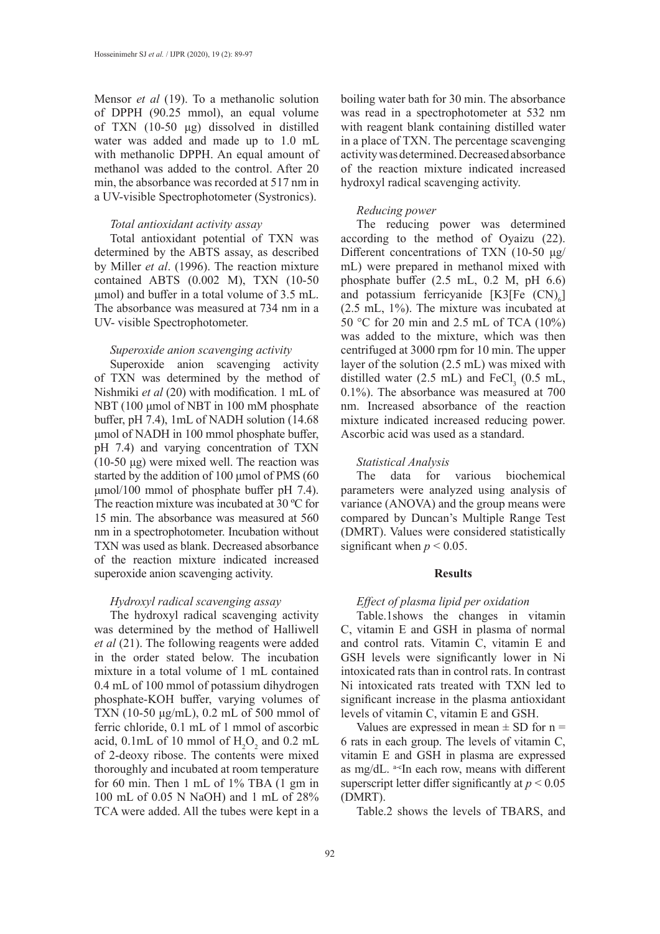Mensor *et al* (19). To a methanolic solution of DPPH (90.25 mmol), an equal volume of TXN (10-50 μg) dissolved in distilled water was added and made up to 1.0 mL with methanolic DPPH. An equal amount of methanol was added to the control. After 20 min, the absorbance was recorded at 517 nm in a UV-visible Spectrophotometer (Systronics).

#### *Total antioxidant activity assay*

Total antioxidant potential of TXN was determined by the ABTS assay, as described by Miller *et al*. (1996). The reaction mixture contained ABTS (0.002 M), TXN (10-50 μmol) and buffer in a total volume of 3.5 mL. The absorbance was measured at 734 nm in a UV- visible Spectrophotometer.

#### *Superoxide anion scavenging activity*

Superoxide anion scavenging activity of TXN was determined by the method of Nishmiki *et al* (20) with modification. 1 mL of NBT (100 μmol of NBT in 100 mM phosphate buffer, pH 7.4), 1mL of NADH solution (14.68 μmol of NADH in 100 mmol phosphate buffer, pH 7.4) and varying concentration of TXN (10-50 μg) were mixed well. The reaction was started by the addition of 100 μmol of PMS (60 μmol/100 mmol of phosphate buffer pH 7.4). The reaction mixture was incubated at 30 ºC for 15 min. The absorbance was measured at 560 nm in a spectrophotometer. Incubation without TXN was used as blank. Decreased absorbance of the reaction mixture indicated increased superoxide anion scavenging activity.

## *Hydroxyl radical scavenging assay*

The hydroxyl radical scavenging activity was determined by the method of Halliwell *et al* (21). The following reagents were added in the order stated below. The incubation mixture in a total volume of 1 mL contained 0.4 mL of 100 mmol of potassium dihydrogen phosphate-KOH buffer, varying volumes of TXN (10-50 μg/mL), 0.2 mL of 500 mmol of ferric chloride, 0.1 mL of 1 mmol of ascorbic acid,  $0.1$ mL of 10 mmol of  $H_2O_2$  and  $0.2$  mL of 2-deoxy ribose. The contents were mixed thoroughly and incubated at room temperature for 60 min. Then 1 mL of 1% TBA (1 gm in 100 mL of 0.05 N NaOH) and 1 mL of 28% TCA were added. All the tubes were kept in a

boiling water bath for 30 min. The absorbance was read in a spectrophotometer at 532 nm with reagent blank containing distilled water in a place of TXN. The percentage scavenging activity was determined. Decreased absorbance of the reaction mixture indicated increased hydroxyl radical scavenging activity.

# *Reducing power*

The reducing power was determined according to the method of Oyaizu (22). Different concentrations of TXN (10-50 μg/ mL) were prepared in methanol mixed with phosphate buffer (2.5 mL, 0.2 M, pH 6.6) and potassium ferricyanide  $[K3[Fe (CN)<sub>6</sub>]$ (2.5 mL, 1%). The mixture was incubated at 50 °C for 20 min and 2.5 mL of TCA (10%) was added to the mixture, which was then centrifuged at 3000 rpm for 10 min. The upper layer of the solution (2.5 mL) was mixed with distilled water (2.5 mL) and  $\text{FeCl}_3$  (0.5 mL, 0.1%). The absorbance was measured at 700 nm. Increased absorbance of the reaction mixture indicated increased reducing power. Ascorbic acid was used as a standard.

#### *Statistical Analysis*

The data for various biochemical parameters were analyzed using analysis of variance (ANOVA) and the group means were compared by Duncan's Multiple Range Test (DMRT). Values were considered statistically significant when  $p \leq 0.05$ .

#### **Results**

## *Effect of plasma lipid per oxidation*

Table.1shows the changes in vitamin C, vitamin E and GSH in plasma of normal and control rats. Vitamin C, vitamin E and GSH levels were significantly lower in Ni intoxicated rats than in control rats. In contrast Ni intoxicated rats treated with TXN led to significant increase in the plasma antioxidant levels of vitamin C, vitamin E and GSH.

Values are expressed in mean  $\pm$  SD for n = 6 rats in each group. The levels of vitamin C, vitamin E and GSH in plasma are expressed as mg/dL. a-cIn each row, means with different superscript letter differ significantly at  $p < 0.05$ (DMRT).

Table.2 shows the levels of TBARS, and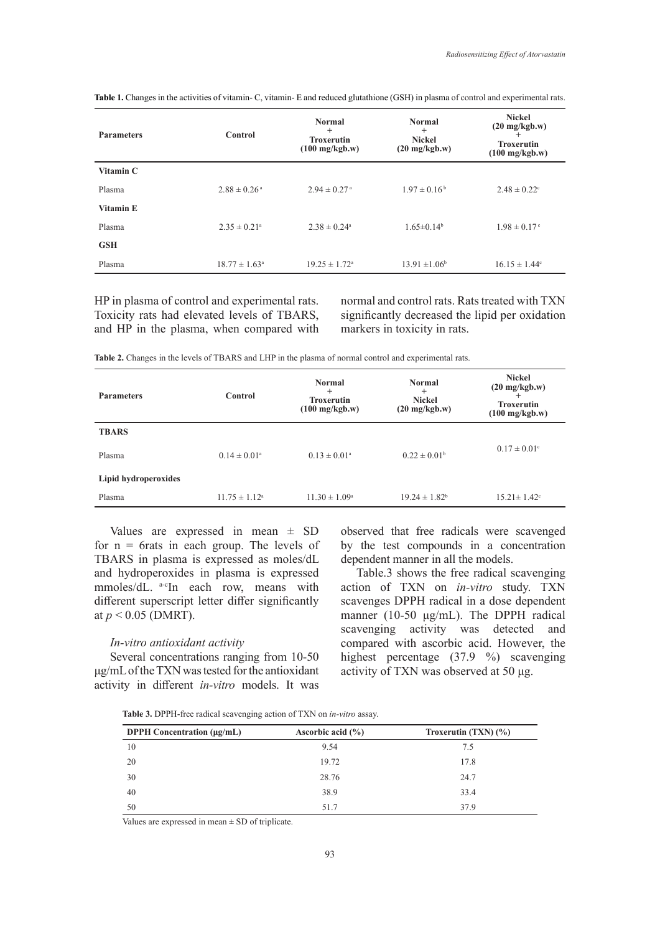| <b>Parameters</b> | Control                      | <b>Normal</b><br>$+$<br><b>Troxerutin</b><br>$(100 \text{ mg/kgb.w})$ | <b>Normal</b><br>$^{+}$<br><b>Nickel</b><br>$(20 \text{ mg/kgb.w})$ | <b>Nickel</b><br>$(20 \text{ mg/kgb.w})$<br>$^{+}$<br><b>Troxerutin</b><br>$(100 \text{ mg/kgb.w})$ |
|-------------------|------------------------------|-----------------------------------------------------------------------|---------------------------------------------------------------------|-----------------------------------------------------------------------------------------------------|
| Vitamin C         |                              |                                                                       |                                                                     |                                                                                                     |
| Plasma            | $2.88 \pm 0.26$ <sup>a</sup> | $2.94 \pm 0.27$ <sup>a</sup>                                          | $1.97 \pm 0.16^{\mathrm{b}}$                                        | $2.48 \pm 0.22$ <sup>c</sup>                                                                        |
| Vitamin E         |                              |                                                                       |                                                                     |                                                                                                     |
| Plasma            | $2.35 \pm 0.21$ <sup>a</sup> | $2.38 \pm 0.24$ <sup>a</sup>                                          | $1.65 \pm 0.14^b$                                                   | $1.98 \pm 0.17$ °                                                                                   |
| GSH               |                              |                                                                       |                                                                     |                                                                                                     |
| Plasma            | $18.77 \pm 1.63^{\circ}$     | $19.25 \pm 1.72$ <sup>a</sup>                                         | $13.91 \pm 1.06^b$                                                  | $16.15 \pm 1.44$ °                                                                                  |

**Table 1.** Changes in the activities of vitamin- C, vitamin- E and reduced glutathione (GSH) in plasma of control and experimental rats.

HP in plasma of control and experimental rats. Toxicity rats had elevated levels of TBARS, and HP in the plasma, when compared with normal and control rats. Rats treated with TXN significantly decreased the lipid per oxidation markers in toxicity in rats.

**Table 2.** Changes in the levels of TBARS and LHP in the plasma of normal control and experimental rats.

| <b>Parameters</b>    | Control                  | <b>Normal</b><br>$^{+}$<br><b>Troxerutin</b><br>$(100 \text{ mg/kgb.w})$ | <b>Normal</b><br>$^{+}$<br><b>Nickel</b><br>$(20 \text{ mg/kgb.w})$ | <b>Nickel</b><br>$(20 \text{ mg/kgb.w})$<br><b>Troxerutin</b><br>$(100 \text{ mg/kgb.w})$ |
|----------------------|--------------------------|--------------------------------------------------------------------------|---------------------------------------------------------------------|-------------------------------------------------------------------------------------------|
| <b>TBARS</b>         |                          |                                                                          |                                                                     |                                                                                           |
| Plasma               | $0.14 \pm 0.01^{\circ}$  | $0.13 \pm 0.01^{\circ}$                                                  | $0.22 \pm 0.01^{\rm b}$                                             | $0.17 \pm 0.01$ °                                                                         |
| Lipid hydroperoxides |                          |                                                                          |                                                                     |                                                                                           |
| Plasma               | $11.75 \pm 1.12^{\circ}$ | $11.30 \pm 1.09^{\circ}$                                                 | $19.24 \pm 1.82^b$                                                  | $15.21 \pm 1.42$ <sup>c</sup>                                                             |

Values are expressed in mean  $\pm$  SD for  $n = 6$ rats in each group. The levels of TBARS in plasma is expressed as moles/dL and hydroperoxides in plasma is expressed mmoles/dL. a-cIn each row, means with different superscript letter differ significantly at *p* < 0.05 (DMRT).

#### *In-vitro antioxidant activity*

Several concentrations ranging from 10-50 μg/mL of the TXN was tested for the antioxidant activity in different *in-vitro* models. It was observed that free radicals were scavenged by the test compounds in a concentration dependent manner in all the models.

Table.3 shows the free radical scavenging action of TXN on *in-vitro* study. TXN scavenges DPPH radical in a dose dependent manner (10-50 μg/mL). The DPPH radical scavenging activity was detected and compared with ascorbic acid. However, the highest percentage (37.9 %) scavenging activity of TXN was observed at 50 μg.

**Table 3.** DPPH-free radical scavenging action of TXN on *in-vitro* assay.

| <b>DPPH</b> Concentration $(\mu \varrho / mL)$ | Ascorbic acid $(\% )$ | Troxerutin $(TXN)(\%)$ |
|------------------------------------------------|-----------------------|------------------------|
| 10                                             | 9.54                  | 7.5                    |
| 20                                             | 19.72                 | 17.8                   |
| 30                                             | 28.76                 | 24.7                   |
| 40                                             | 38.9                  | 33.4                   |
| 50                                             | 51.7                  | 37.9                   |

Values are expressed in mean  $\pm$  SD of triplicate.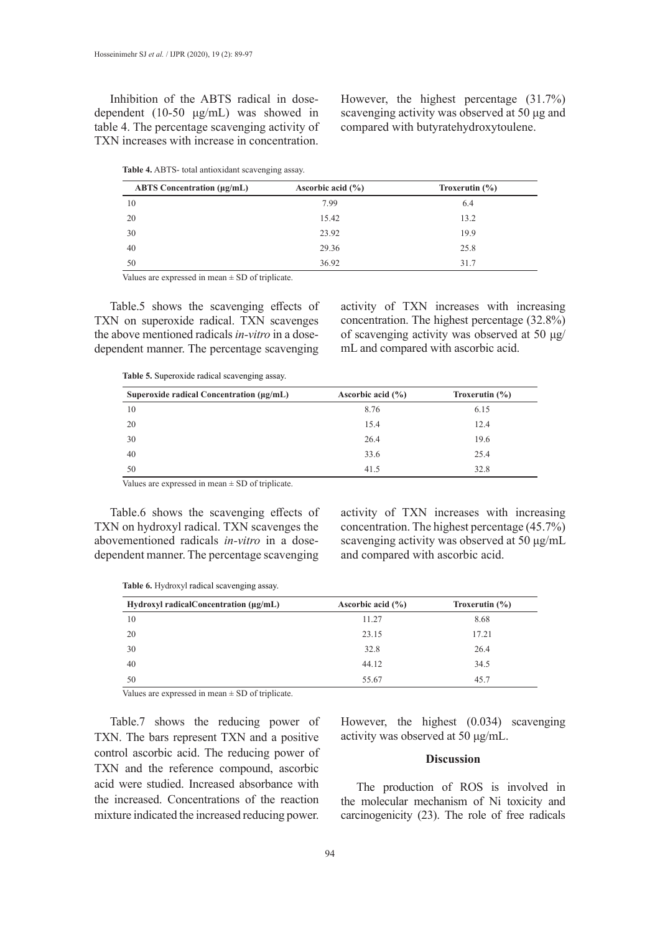Inhibition of the ABTS radical in dosedependent (10-50 μg/mL) was showed in table 4. The percentage scavenging activity of TXN increases with increase in concentration.

However, the highest percentage (31.7%) scavenging activity was observed at 50 μg and compared with butyratehydroxytoulene.

| Table 4. ABTS- total antioxidant scavenging assay. |  |  |
|----------------------------------------------------|--|--|
|----------------------------------------------------|--|--|

| <b>ABTS</b> Concentration (µg/mL) | Ascorbic acid $(\% )$ | Troxerutin $(\% )$ |
|-----------------------------------|-----------------------|--------------------|
| 10                                | 7.99                  | 6.4                |
| 20                                | 15.42                 | 13.2               |
| 30                                | 23.92                 | 19.9               |
| 40                                | 29.36                 | 25.8               |
| 50                                | 36.92                 | 31.7               |

Values are expressed in mean  $\pm$  SD of triplicate.

Table.5 shows the scavenging effects of TXN on superoxide radical. TXN scavenges the above mentioned radicals *in-vitro* in a dosedependent manner. The percentage scavenging

activity of TXN increases with increasing concentration. The highest percentage (32.8%) of scavenging activity was observed at 50 μg/ mL and compared with ascorbic acid.

**Table 5.** Superoxide radical scavenging assay.

| Superoxide radical Concentration $(\mu g/mL)$ | Ascorbic acid $(\% )$ | Troxerutin $(\% )$ |
|-----------------------------------------------|-----------------------|--------------------|
| 10                                            | 8.76                  | 6.15               |
| 20                                            | 15.4                  | 12.4               |
| 30                                            | 26.4                  | 19.6               |
| 40                                            | 33.6                  | 25.4               |
| 50                                            | 41.5                  | 32.8               |
|                                               |                       |                    |

Values are expressed in mean ± SD of triplicate.

Table.6 shows the scavenging effects of TXN on hydroxyl radical. TXN scavenges the abovementioned radicals *in-vitro* in a dosedependent manner. The percentage scavenging

activity of TXN increases with increasing concentration. The highest percentage (45.7%) scavenging activity was observed at 50 μg/mL and compared with ascorbic acid.

|  |  | Table 6. Hydroxyl radical scavenging assay. |  |
|--|--|---------------------------------------------|--|
|  |  |                                             |  |

| Hydroxyl radical Concentration $(\mu g/mL)$ | Ascorbic acid $(\% )$ | Troxerutin $(\% )$ |
|---------------------------------------------|-----------------------|--------------------|
| 10                                          | 11.27                 | 8.68               |
| 20                                          | 23.15                 | 17.21              |
| 30                                          | 32.8                  | 26.4               |
| 40                                          | 44.12                 | 34.5               |
| 50                                          | 55.67                 | 45.7               |

Values are expressed in mean  $\pm$  SD of triplicate.

Table.7 shows the reducing power of TXN. The bars represent TXN and a positive control ascorbic acid. The reducing power of TXN and the reference compound, ascorbic acid were studied. Increased absorbance with the increased. Concentrations of the reaction mixture indicated the increased reducing power.

However, the highest (0.034) scavenging activity was observed at 50 μg/mL.

# **Discussion**

The production of ROS is involved in the molecular mechanism of Ni toxicity and carcinogenicity (23). The role of free radicals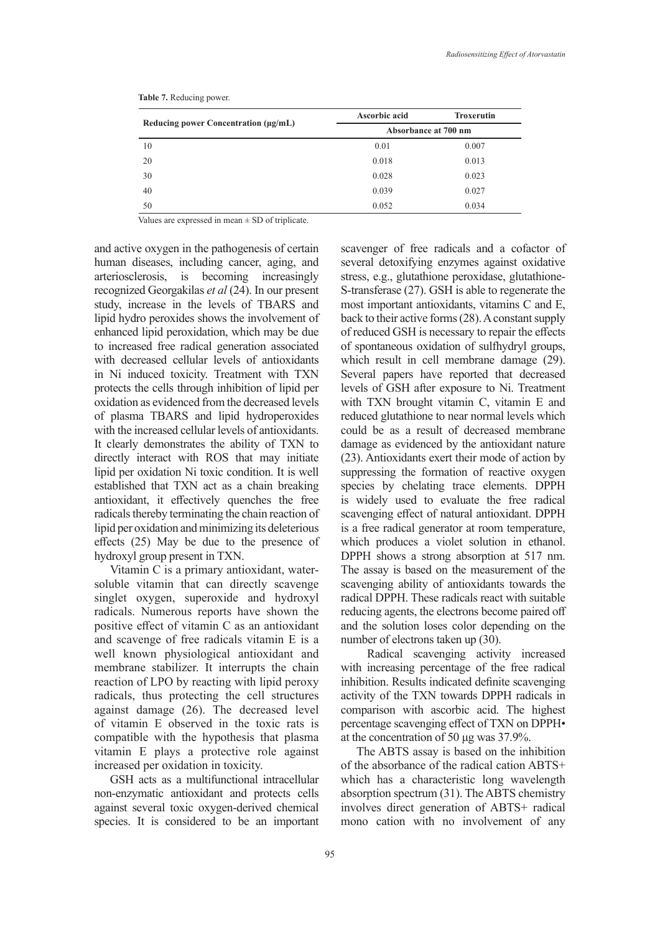|                                           | Ascorbic acid        | <b>Troxerutin</b> |  |
|-------------------------------------------|----------------------|-------------------|--|
| Reducing power Concentration $(\mu g/mL)$ | Absorbance at 700 nm |                   |  |
| 10                                        | 0.01                 | 0.007             |  |
| 20                                        | 0.018                | 0.013             |  |
| 30                                        | 0.028                | 0.023             |  |
| 40                                        | 0.039                | 0.027             |  |
| 50                                        | 0.052                | 0.034             |  |

**Table 7.** Reducing power.

Values are expressed in mean  $\pm$  SD of triplicate.

and active oxygen in the pathogenesis of certain human diseases, including cancer, aging, and arteriosclerosis, is becoming increasingly recognized Georgakilas *et al* (24). In our present study, increase in the levels of TBARS and lipid hydro peroxides shows the involvement of enhanced lipid peroxidation, which may be due to increased free radical generation associated with decreased cellular levels of antioxidants in Ni induced toxicity. Treatment with TXN protects the cells through inhibition of lipid per oxidation as evidenced from the decreased levels of plasma TBARS and lipid hydroperoxides with the increased cellular levels of antioxidants. It clearly demonstrates the ability of TXN to directly interact with ROS that may initiate lipid per oxidation Ni toxic condition. It is well established that TXN act as a chain breaking antioxidant, it effectively quenches the free radicals thereby terminating the chain reaction of lipid per oxidation and minimizing its deleterious effects (25) May be due to the presence of hydroxyl group present in TXN.

Vitamin C is a primary antioxidant, watersoluble vitamin that can directly scavenge singlet oxygen, superoxide and hydroxyl radicals. Numerous reports have shown the positive effect of vitamin C as an antioxidant and scavenge of free radicals vitamin E is a well known physiological antioxidant and membrane stabilizer. It interrupts the chain reaction of LPO by reacting with lipid peroxy radicals, thus protecting the cell structures against damage (26). The decreased level of vitamin E observed in the toxic rats is compatible with the hypothesis that plasma vitamin E plays a protective role against increased per oxidation in toxicity.

GSH acts as a multifunctional intracellular non-enzymatic antioxidant and protects cells against several toxic oxygen-derived chemical species. It is considered to be an important scavenger of free radicals and a cofactor of several detoxifying enzymes against oxidative stress, e.g., glutathione peroxidase, glutathione-S-transferase (27). GSH is able to regenerate the most important antioxidants, vitamins C and E, back to their active forms (28). A constant supply of reduced GSH is necessary to repair the effects of spontaneous oxidation of sulfhydryl groups, which result in cell membrane damage (29). Several papers have reported that decreased levels of GSH after exposure to Ni. Treatment with TXN brought vitamin C, vitamin E and reduced glutathione to near normal levels which could be as a result of decreased membrane damage as evidenced by the antioxidant nature (23). Antioxidants exert their mode of action by suppressing the formation of reactive oxygen species by chelating trace elements. DPPH is widely used to evaluate the free radical scavenging effect of natural antioxidant. DPPH is a free radical generator at room temperature, which produces a violet solution in ethanol. DPPH shows a strong absorption at 517 nm. The assay is based on the measurement of the scavenging ability of antioxidants towards the radical DPPH. These radicals react with suitable reducing agents, the electrons become paired off and the solution loses color depending on the number of electrons taken up (30).

 Radical scavenging activity increased with increasing percentage of the free radical inhibition. Results indicated definite scavenging activity of the TXN towards DPPH radicals in comparison with ascorbic acid. The highest percentage scavenging effect of TXN on DPPH• at the concentration of 50 μg was 37.9%.

The ABTS assay is based on the inhibition of the absorbance of the radical cation ABTS+ which has a characteristic long wavelength absorption spectrum (31). The ABTS chemistry involves direct generation of ABTS+ radical mono cation with no involvement of any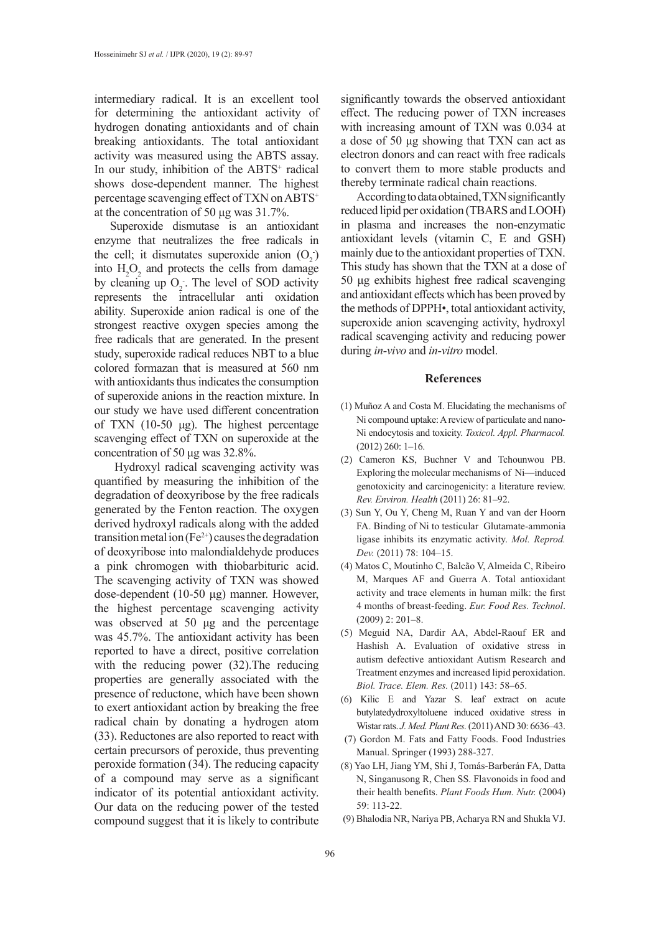intermediary radical. It is an excellent tool for determining the antioxidant activity of hydrogen donating antioxidants and of chain breaking antioxidants. The total antioxidant activity was measured using the ABTS assay. In our study, inhibition of the ABTS<sup>+</sup> radical shows dose-dependent manner. The highest percentage scavenging effect of TXN on ABTS<sup>+</sup> at the concentration of 50 μg was 31.7%.

Superoxide dismutase is an antioxidant enzyme that neutralizes the free radicals in the cell; it dismutates superoxide anion  $(O_2)$ into  $H_2O_2$  and protects the cells from damage by cleaning up  $O_2$ . The level of SOD activity represents the intracellular anti oxidation ability. Superoxide anion radical is one of the strongest reactive oxygen species among the free radicals that are generated. In the present study, superoxide radical reduces NBT to a blue colored formazan that is measured at 560 nm with antioxidants thus indicates the consumption of superoxide anions in the reaction mixture. In our study we have used different concentration of TXN (10-50 μg). The highest percentage scavenging effect of TXN on superoxide at the concentration of 50 μg was 32.8%.

 Hydroxyl radical scavenging activity was quantified by measuring the inhibition of the degradation of deoxyribose by the free radicals generated by the Fenton reaction. The oxygen derived hydroxyl radicals along with the added transition metal ion  $(Fe^{2+})$  causes the degradation of deoxyribose into malondialdehyde produces a pink chromogen with thiobarbituric acid. The scavenging activity of TXN was showed dose-dependent (10-50 μg) manner. However, the highest percentage scavenging activity was observed at 50 μg and the percentage was 45.7%. The antioxidant activity has been reported to have a direct, positive correlation with the reducing power (32).The reducing properties are generally associated with the presence of reductone, which have been shown to exert antioxidant action by breaking the free radical chain by donating a hydrogen atom (33). Reductones are also reported to react with certain precursors of peroxide, thus preventing peroxide formation (34). The reducing capacity of a compound may serve as a significant indicator of its potential antioxidant activity. Our data on the reducing power of the tested compound suggest that it is likely to contribute

significantly towards the observed antioxidant effect. The reducing power of TXN increases with increasing amount of TXN was 0.034 at a dose of 50 μg showing that TXN can act as electron donors and can react with free radicals to convert them to more stable products and thereby terminate radical chain reactions.

According to data obtained, TXN significantly reduced lipid per oxidation (TBARS and LOOH) in plasma and increases the non-enzymatic antioxidant levels (vitamin C, E and GSH) mainly due to the antioxidant properties of TXN. This study has shown that the TXN at a dose of 50 μg exhibits highest free radical scavenging and antioxidant effects which has been proved by the methods of DPPH•, total antioxidant activity, superoxide anion scavenging activity, hydroxyl radical scavenging activity and reducing power during *in-vivo* and *in-vitro* model.

#### **References**

- (1) Muñoz A and Costa M. Elucidating the mechanisms of Ni compound uptake: A review of particulate and nano-Ni endocytosis and toxicity. *Toxicol. Appl. Pharmacol.*  (2012) 260: 1–16.
- (2) Cameron KS, Buchner V and Tchounwou PB. Exploring the molecular mechanisms of Ni—induced genotoxicity and carcinogenicity: a literature review. *Rev. Environ. Health* (2011) 26: 81–92.
- (3) Sun Y, Ou Y, Cheng M, Ruan Y and van der Hoorn FA. Binding of Ni to testicular Glutamate-ammonia ligase inhibits its enzymatic activity. *Mol. Reprod. Dev.* (2011) 78: 104–15.
- (4) Matos C, Moutinho C, Balcão V, Almeida C, Ribeiro M, Marques AF and Guerra A. Total antioxidant activity and trace elements in human milk: the first 4 months of breast-feeding. *Eur. Food Res. Technol*. (2009) 2: 201–8.
- (5) Meguid NA, Dardir AA, Abdel-Raouf ER and Hashish A. Evaluation of oxidative stress in autism defective antioxidant Autism Research and Treatment enzymes and increased lipid peroxidation. *Biol. Trace. Elem. Res.* (2011) 143: 58–65.
- (6) Kilic E and Yazar S. leaf extract on acute butylatedydroxyltoluene induced oxidative stress in Wistar rats. *J. Med. Plant Res.* (2011) AND 30: 6636–43.
- (7) Gordon M. Fats and Fatty Foods. Food Industries Manual. Springer (1993) 288-327.
- (8) [Yao LH](https://www.ncbi.nlm.nih.gov/pubmed/?term=Yao%20LH%5BAuthor%5D&cauthor=true&cauthor_uid=15678717), [Jiang YM](https://www.ncbi.nlm.nih.gov/pubmed/?term=Jiang%20YM%5BAuthor%5D&cauthor=true&cauthor_uid=15678717), [Shi J](https://www.ncbi.nlm.nih.gov/pubmed/?term=Shi%20J%5BAuthor%5D&cauthor=true&cauthor_uid=15678717), [Tomás-Barberán FA](https://www.ncbi.nlm.nih.gov/pubmed/?term=Tom%C3%A1s-Barber%C3%A1n%20FA%5BAuthor%5D&cauthor=true&cauthor_uid=15678717), [Datta](https://www.ncbi.nlm.nih.gov/pubmed/?term=Datta%20N%5BAuthor%5D&cauthor=true&cauthor_uid=15678717) [N](https://www.ncbi.nlm.nih.gov/pubmed/?term=Datta%20N%5BAuthor%5D&cauthor=true&cauthor_uid=15678717), [Singanusong R](https://www.ncbi.nlm.nih.gov/pubmed/?term=Singanusong%20R%5BAuthor%5D&cauthor=true&cauthor_uid=15678717), [Chen SS.](https://www.ncbi.nlm.nih.gov/pubmed/?term=Chen%20SS%5BAuthor%5D&cauthor=true&cauthor_uid=15678717) Flavonoids in food and their health benefits. *[Plant Foods Hum. Nutr.](https://www.ncbi.nlm.nih.gov/pubmed/?term=Plant+Foods+for+Human+Nutrition+%282004%29+59%3A+113-22.)* (2004) 59: 113-22.
- (9) Bhalodia NR, Nariya PB, Acharya RN and Shukla VJ.